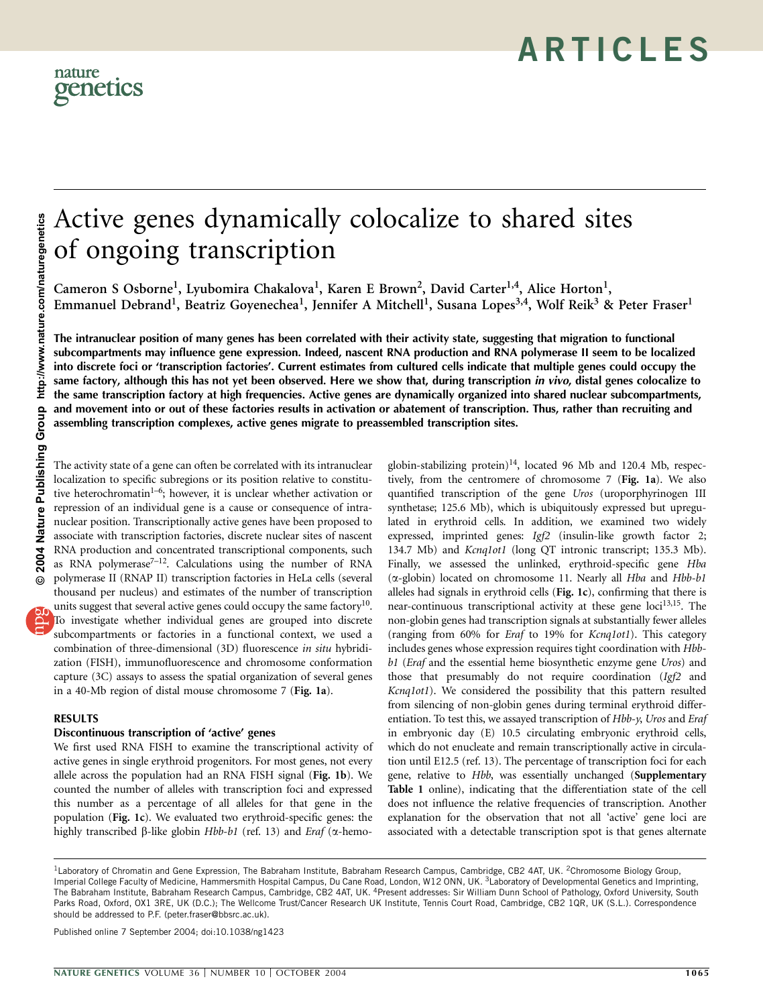

# Active genes dynamically colocalize to shared sites of ongoing transcription

Cameron S Osborne<sup>1</sup>, Lyubomira Chakalova<sup>1</sup>, Karen E Brown<sup>2</sup>, David Carter<sup>1,4</sup>, Alice Horton<sup>1</sup>, Emmanuel Debrand<sup>1</sup>, Beatriz Goyenechea<sup>1</sup>, Jennifer A Mitchell<sup>1</sup>, Susana Lopes<sup>3,4</sup>, Wolf Reik<sup>3</sup> & Peter Fraser<sup>1</sup>

The intranuclear position of many genes has been correlated with their activity state, suggesting that migration to functional subcompartments may influence gene expression. Indeed, nascent RNA production and RNA polymerase II seem to be localized into discrete foci or 'transcription factories'. Current estimates from cultured cells indicate that multiple genes could occupy the same factory, although this has not yet been observed. Here we show that, during transcription in vivo, distal genes colocalize to the same transcription factory at high frequencies. Active genes are dynamically organized into shared nuclear subcompartments, and movement into or out of these factories results in activation or abatement of transcription. Thus, rather than recruiting and assembling transcription complexes, active genes migrate to preassembled transcription sites.

localization to specific subregions or its position relative to constitutive heterochromatin<sup>1–6</sup>; however, it is unclear whether activation or repression of an individual gene is a cause or consequence of intranuclear position. Transcriptionally active genes have been proposed to associate with transcription factories, discrete nuclear sites of nascent RNA production and concentrated transcriptional components, such as RNA polymerase $^{7-12}$ . Calculations using the number of RNA polymerase II (RNAP II) transcription factories in HeLa cells (several thousand per nucleus) and estimates of the number of transcription units suggest that several active genes could occupy the same factory<sup>10</sup>. To investigate whether individual genes are grouped into discrete subcompartments or factories in a functional context, we used a combination of three-dimensional (3D) fluorescence in situ hybridization (FISH), immunofluorescence and chromosome conformation capture (3C) assays to assess the spatial organization of several genes in a 40-Mb region of distal mouse chromosome 7 (Fig. 1a).

The activity state of a gene can often be correlated with its intranuclear

## RESULTS

#### Discontinuous transcription of 'active' genes

We first used RNA FISH to examine the transcriptional activity of active genes in single erythroid progenitors. For most genes, not every allele across the population had an RNA FISH signal (Fig. 1b). We counted the number of alleles with transcription foci and expressed this number as a percentage of all alleles for that gene in the population (Fig. 1c). We evaluated two erythroid-specific genes: the highly transcribed  $\beta$ -like globin Hbb-b1 (ref. 13) and Eraf ( $\alpha$ -hemoglobin-stabilizing protein)<sup>14</sup>, located 96 Mb and 120.4 Mb, respectively, from the centromere of chromosome 7 (Fig. 1a). We also quantified transcription of the gene Uros (uroporphyrinogen III synthetase; 125.6 Mb), which is ubiquitously expressed but upregulated in erythroid cells. In addition, we examined two widely expressed, imprinted genes: Igf2 (insulin-like growth factor 2; 134.7 Mb) and Kcnq1ot1 (long QT intronic transcript; 135.3 Mb). Finally, we assessed the unlinked, erythroid-specific gene Hba ( $\alpha$ -globin) located on chromosome 11. Nearly all Hba and Hbb-b1 alleles had signals in erythroid cells (Fig. 1c), confirming that there is near-continuous transcriptional activity at these gene loci<sup>13,15</sup>. The non-globin genes had transcription signals at substantially fewer alleles (ranging from 60% for Eraf to 19% for Kcnq1ot1). This category includes genes whose expression requires tight coordination with Hbbb1 (Eraf and the essential heme biosynthetic enzyme gene Uros) and those that presumably do not require coordination (Igf2 and Kcnq1ot1). We considered the possibility that this pattern resulted from silencing of non-globin genes during terminal erythroid differentiation. To test this, we assayed transcription of Hbb-y, Uros and Eraf in embryonic day (E) 10.5 circulating embryonic erythroid cells, which do not enucleate and remain transcriptionally active in circulation until E12.5 (ref. 13). The percentage of transcription foci for each gene, relative to Hbb, was essentially unchanged (Supplementary Table 1 online), indicating that the differentiation state of the cell does not influence the relative frequencies of transcription. Another explanation for the observation that not all 'active' gene loci are associated with a detectable transcription spot is that genes alternate

<sup>1</sup>Laboratory of Chromatin and Gene Expression, The Babraham Institute, Babraham Research Campus, Cambridge, CB2 4AT, UK. <sup>2</sup>Chromosome Biology Group, Imperial College Faculty of Medicine, Hammersmith Hospital Campus, Du Cane Road, London, W12 ONN, UK. <sup>3</sup>Laboratory of Developmental Genetics and Imprinting, The Babraham Institute, Babraham Research Campus, Cambridge, CB2 4AT, UK. 4Present addresses: Sir William Dunn School of Pathology, Oxford University, South Parks Road, Oxford, OX1 3RE, UK (D.C.); The Wellcome Trust/Cancer Research UK Institute, Tennis Court Road, Cambridge, CB2 1QR, UK (S.L.). Correspondence should be addressed to P.F. (peter.fraser@bbsrc.ac.uk).

Published online 7 September 2004; doi:10.1038/ng1423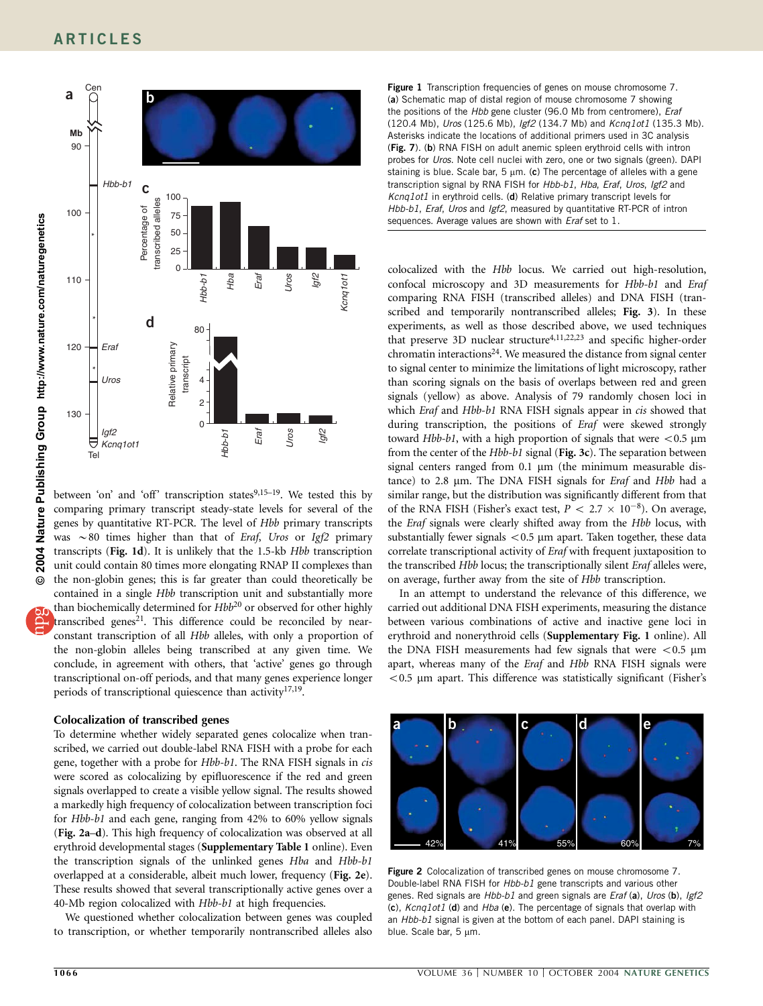

between 'on' and 'off' transcription states<sup>9,15-19</sup>. We tested this by comparing primary transcript steady-state levels for several of the genes by quantitative RT-PCR. The level of Hbb primary transcripts was  $\sim$  80 times higher than that of Eraf, Uros or Igf2 primary transcripts (Fig. 1d). It is unlikely that the 1.5-kb Hbb transcription unit could contain 80 times more elongating RNAP II complexes than the non-globin genes; this is far greater than could theoretically be contained in a single Hbb transcription unit and substantially more than biochemically determined for  $Hbb^{20}$  or observed for other highly transcribed genes<sup>21</sup>. This difference could be reconciled by nearconstant transcription of all Hbb alleles, with only a proportion of the non-globin alleles being transcribed at any given time. We conclude, in agreement with others, that 'active' genes go through transcriptional on-off periods, and that many genes experience longer periods of transcriptional quiescence than activity<sup>17,19</sup>.

#### Colocalization of transcribed genes

To determine whether widely separated genes colocalize when transcribed, we carried out double-label RNA FISH with a probe for each gene, together with a probe for Hbb-b1. The RNA FISH signals in cis were scored as colocalizing by epifluorescence if the red and green signals overlapped to create a visible yellow signal. The results showed a markedly high frequency of colocalization between transcription foci for Hbb-b1 and each gene, ranging from 42% to 60% yellow signals (Fig. 2a–d). This high frequency of colocalization was observed at all erythroid developmental stages (Supplementary Table 1 online). Even the transcription signals of the unlinked genes Hba and Hbb-b1 overlapped at a considerable, albeit much lower, frequency (Fig. 2e). These results showed that several transcriptionally active genes over a 40-Mb region colocalized with Hbb-b1 at high frequencies.

We questioned whether colocalization between genes was coupled to transcription, or whether temporarily nontranscribed alleles also

Figure 1 Transcription frequencies of genes on mouse chromosome 7. (a) Schematic map of distal region of mouse chromosome 7 showing the positions of the Hbb gene cluster (96.0 Mb from centromere), Eraf (120.4 Mb), Uros (125.6 Mb), Igf2 (134.7 Mb) and Kcnq1ot1 (135.3 Mb). Asterisks indicate the locations of additional primers used in 3C analysis (Fig. 7). (b) RNA FISH on adult anemic spleen erythroid cells with intron probes for Uros. Note cell nuclei with zero, one or two signals (green). DAPI staining is blue. Scale bar,  $5 \mu m$ . (c) The percentage of alleles with a gene transcription signal by RNA FISH for Hbb-b1, Hba, Eraf, Uros, Igf2 and Kcnq1ot1 in erythroid cells. (d) Relative primary transcript levels for Hbb-b1, Eraf, Uros and Igf2, measured by quantitative RT-PCR of intron sequences. Average values are shown with *Eraf* set to 1.

colocalized with the Hbb locus. We carried out high-resolution, confocal microscopy and 3D measurements for Hbb-b1 and Eraf comparing RNA FISH (transcribed alleles) and DNA FISH (transcribed and temporarily nontranscribed alleles; Fig. 3). In these experiments, as well as those described above, we used techniques that preserve 3D nuclear structure<sup>4,11,22,23</sup> and specific higher-order chromatin interactions<sup>24</sup>. We measured the distance from signal center to signal center to minimize the limitations of light microscopy, rather than scoring signals on the basis of overlaps between red and green signals (yellow) as above. Analysis of 79 randomly chosen loci in which Eraf and Hbb-b1 RNA FISH signals appear in cis showed that during transcription, the positions of Eraf were skewed strongly toward Hbb-b1, with a high proportion of signals that were  $<$  0.5 µm from the center of the Hbb-b1 signal (Fig. 3c). The separation between signal centers ranged from  $0.1 \mu m$  (the minimum measurable distance) to 2.8  $\mu$ m. The DNA FISH signals for Eraf and Hbb had a similar range, but the distribution was significantly different from that of the RNA FISH (Fisher's exact test,  $P < 2.7 \times 10^{-8}$ ). On average, the Eraf signals were clearly shifted away from the Hbb locus, with substantially fewer signals  $< 0.5$  µm apart. Taken together, these data correlate transcriptional activity of Eraf with frequent juxtaposition to the transcribed Hbb locus; the transcriptionally silent Eraf alleles were, on average, further away from the site of Hbb transcription.

In an attempt to understand the relevance of this difference, we carried out additional DNA FISH experiments, measuring the distance between various combinations of active and inactive gene loci in erythroid and nonerythroid cells (Supplementary Fig. 1 online). All the DNA FISH measurements had few signals that were  $<$  0.5 µm apart, whereas many of the Eraf and Hbb RNA FISH signals were  $<$  0.5  $\mu$ m apart. This difference was statistically significant (Fisher's



Figure 2 Colocalization of transcribed genes on mouse chromosome 7. Double-label RNA FISH for Hbb-b1 gene transcripts and various other genes. Red signals are *Hbb-b1* and green signals are *Eraf* (a), *Uros* (b), *Igf2* (c), Kcnq1ot1 (d) and Hba (e). The percentage of signals that overlap with an Hbb-b1 signal is given at the bottom of each panel. DAPI staining is blue. Scale bar,  $5 \mu m$ .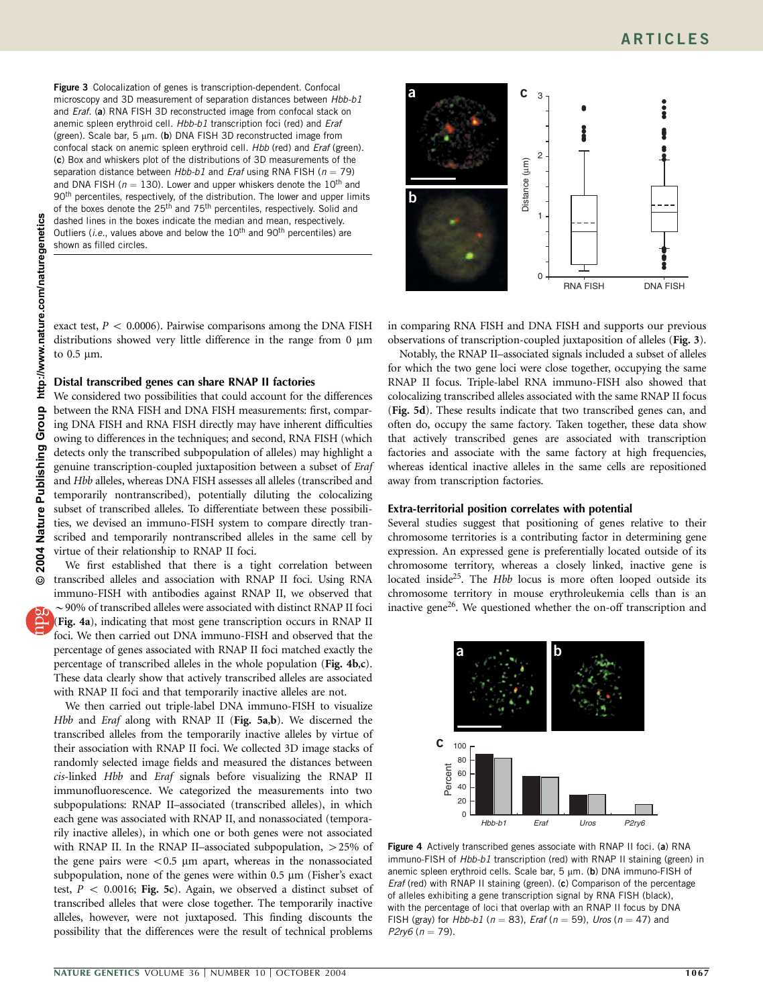Figure 3 Colocalization of genes is transcription-dependent. Confocal microscopy and 3D measurement of separation distances between Hbb-b1 and *Eraf.* (a) RNA FISH 3D reconstructed image from confocal stack on anemic spleen erythroid cell. Hbb-b1 transcription foci (red) and Eraf (green). Scale bar,  $5 \mu m$ . (b) DNA FISH 3D reconstructed image from confocal stack on anemic spleen erythroid cell. Hbb (red) and Eraf (green). (c) Box and whiskers plot of the distributions of 3D measurements of the separation distance between Hbb-b1 and Eraf using RNA FISH ( $n = 79$ ) and DNA FISH ( $n = 130$ ). Lower and upper whiskers denote the 10<sup>th</sup> and 90<sup>th</sup> percentiles, respectively, of the distribution. The lower and upper limits of the boxes denote the 25<sup>th</sup> and 75<sup>th</sup> percentiles, respectively. Solid and dashed lines in the boxes indicate the median and mean, respectively. Outliers (*i.e.*, values above and below the  $10<sup>th</sup>$  and  $90<sup>th</sup>$  percentiles) are shown as filled circles.

exact test,  $P < 0.0006$ ). Pairwise comparisons among the DNA FISH distributions showed very little difference in the range from 0 µm to  $0.5 \mu m$ .

#### Distal transcribed genes can share RNAP II factories

We considered two possibilities that could account for the differences between the RNA FISH and DNA FISH measurements: first, comparing DNA FISH and RNA FISH directly may have inherent difficulties owing to differences in the techniques; and second, RNA FISH (which detects only the transcribed subpopulation of alleles) may highlight a genuine transcription-coupled juxtaposition between a subset of Eraf and Hbb alleles, whereas DNA FISH assesses all alleles (transcribed and temporarily nontranscribed), potentially diluting the colocalizing subset of transcribed alleles. To differentiate between these possibilities, we devised an immuno-FISH system to compare directly transcribed and temporarily nontranscribed alleles in the same cell by virtue of their relationship to RNAP II foci.

We first established that there is a tight correlation between transcribed alleles and association with RNAP II foci. Using RNA immuno-FISH with antibodies against RNAP II, we observed that  $\sim$  90% of transcribed alleles were associated with distinct RNAP II foci (Fig. 4a), indicating that most gene transcription occurs in RNAP II foci. We then carried out DNA immuno-FISH and observed that the percentage of genes associated with RNAP II foci matched exactly the percentage of transcribed alleles in the whole population (Fig. 4b,c). These data clearly show that actively transcribed alleles are associated with RNAP II foci and that temporarily inactive alleles are not.

We then carried out triple-label DNA immuno-FISH to visualize Hbb and Eraf along with RNAP II (Fig. 5a,b). We discerned the transcribed alleles from the temporarily inactive alleles by virtue of their association with RNAP II foci. We collected 3D image stacks of randomly selected image fields and measured the distances between cis-linked Hbb and Eraf signals before visualizing the RNAP II immunofluorescence. We categorized the measurements into two subpopulations: RNAP II–associated (transcribed alleles), in which each gene was associated with RNAP II, and nonassociated (temporarily inactive alleles), in which one or both genes were not associated with RNAP II. In the RNAP II-associated subpopulation,  $>25%$  of the gene pairs were  $< 0.5$  µm apart, whereas in the nonassociated subpopulation, none of the genes were within  $0.5 \mu m$  (Fisher's exact test,  $P$  < 0.0016; Fig. 5c). Again, we observed a distinct subset of transcribed alleles that were close together. The temporarily inactive alleles, however, were not juxtaposed. This finding discounts the possibility that the differences were the result of technical problems



in comparing RNA FISH and DNA FISH and supports our previous observations of transcription-coupled juxtaposition of alleles (Fig. 3).

Notably, the RNAP II–associated signals included a subset of alleles for which the two gene loci were close together, occupying the same RNAP II focus. Triple-label RNA immuno-FISH also showed that colocalizing transcribed alleles associated with the same RNAP II focus (Fig. 5d). These results indicate that two transcribed genes can, and often do, occupy the same factory. Taken together, these data show that actively transcribed genes are associated with transcription factories and associate with the same factory at high frequencies, whereas identical inactive alleles in the same cells are repositioned away from transcription factories.

#### Extra-territorial position correlates with potential

Several studies suggest that positioning of genes relative to their chromosome territories is a contributing factor in determining gene expression. An expressed gene is preferentially located outside of its chromosome territory, whereas a closely linked, inactive gene is located inside<sup>25</sup>. The *Hbb* locus is more often looped outside its chromosome territory in mouse erythroleukemia cells than is an inactive gene<sup>26</sup>. We questioned whether the on-off transcription and



Figure 4 Actively transcribed genes associate with RNAP II foci. (a) RNA immuno-FISH of Hbb-b1 transcription (red) with RNAP II staining (green) in anemic spleen erythroid cells. Scale bar,  $5 \mu m$ . (b) DNA immuno-FISH of Eraf (red) with RNAP II staining (green). (c) Comparison of the percentage of alleles exhibiting a gene transcription signal by RNA FISH (black), with the percentage of loci that overlap with an RNAP II focus by DNA FISH (gray) for Hbb-b1 ( $n = 83$ ), Eraf ( $n = 59$ ), Uros ( $n = 47$ ) and P2ry6 ( $n = 79$ ).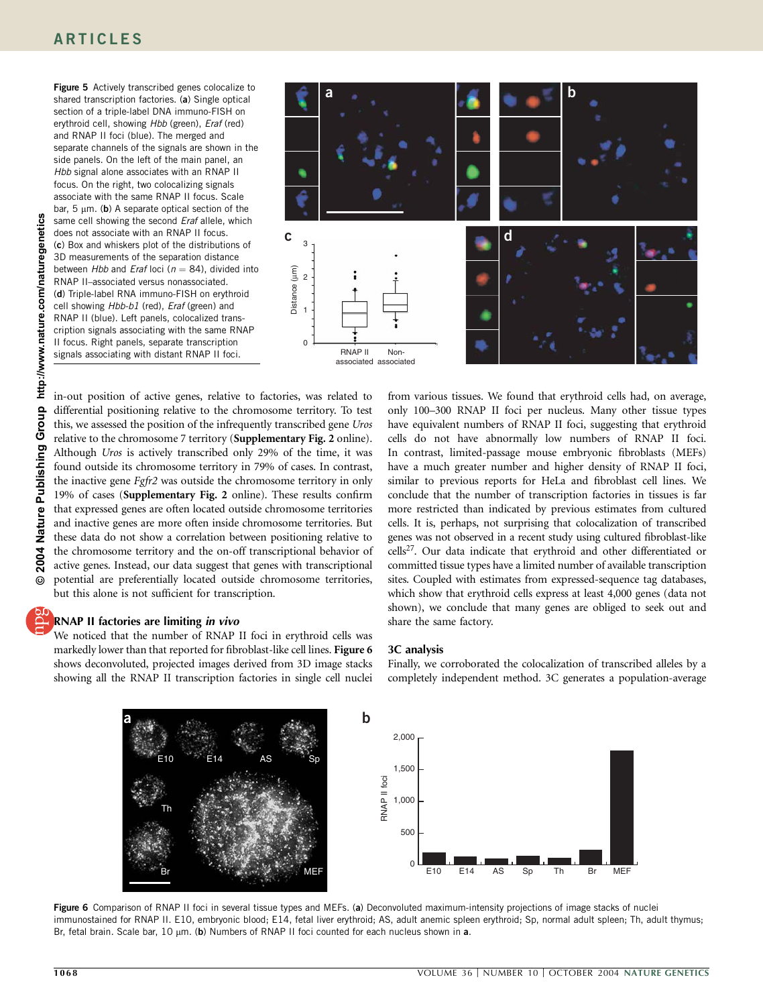# ARTICLES

Figure 5 Actively transcribed genes colocalize to shared transcription factories. (a) Single optical section of a triple-label DNA immuno-FISH on erythroid cell, showing Hbb (green), Eraf (red) and RNAP II foci (blue). The merged and separate channels of the signals are shown in the side panels. On the left of the main panel, an Hbb signal alone associates with an RNAP II focus. On the right, two colocalizing signals associate with the same RNAP II focus. Scale bar,  $5 \mu m$ . (b) A separate optical section of the same cell showing the second Eraf allele, which does not associate with an RNAP II focus. (c) Box and whiskers plot of the distributions of 3D measurements of the separation distance between Hbb and Eraf loci ( $n = 84$ ), divided into RNAP II–associated versus nonassociated. (d) Triple-label RNA immuno-FISH on erythroid cell showing Hbb-b1 (red), Eraf (green) and RNAP II (blue). Left panels, colocalized transcription signals associating with the same RNAP II focus. Right panels, separate transcription signals associating with distant RNAP II foci.



in-out position of active genes, relative to factories, was related to differential positioning relative to the chromosome territory. To test this, we assessed the position of the infrequently transcribed gene Uros relative to the chromosome 7 territory (Supplementary Fig. 2 online). Although Uros is actively transcribed only 29% of the time, it was found outside its chromosome territory in 79% of cases. In contrast, the inactive gene Fgfr2 was outside the chromosome territory in only 19% of cases (Supplementary Fig. 2 online). These results confirm that expressed genes are often located outside chromosome territories and inactive genes are more often inside chromosome territories. But these data do not show a correlation between positioning relative to the chromosome territory and the on-off transcriptional behavior of active genes. Instead, our data suggest that genes with transcriptional potential are preferentially located outside chromosome territories, but this alone is not sufficient for transcription.

# RNAP II factories are limiting in vivo

We noticed that the number of RNAP II foci in erythroid cells was markedly lower than that reported for fibroblast-like cell lines. Figure 6 shows deconvoluted, projected images derived from 3D image stacks showing all the RNAP II transcription factories in single cell nuclei

from various tissues. We found that erythroid cells had, on average, only 100–300 RNAP II foci per nucleus. Many other tissue types have equivalent numbers of RNAP II foci, suggesting that erythroid cells do not have abnormally low numbers of RNAP II foci. In contrast, limited-passage mouse embryonic fibroblasts (MEFs) have a much greater number and higher density of RNAP II foci, similar to previous reports for HeLa and fibroblast cell lines. We conclude that the number of transcription factories in tissues is far more restricted than indicated by previous estimates from cultured cells. It is, perhaps, not surprising that colocalization of transcribed genes was not observed in a recent study using cultured fibroblast-like cells<sup>27</sup>. Our data indicate that erythroid and other differentiated or committed tissue types have a limited number of available transcription sites. Coupled with estimates from expressed-sequence tag databases, which show that erythroid cells express at least 4,000 genes (data not shown), we conclude that many genes are obliged to seek out and share the same factory.

## 3C analysis

Finally, we corroborated the colocalization of transcribed alleles by a completely independent method. 3C generates a population-average



Figure 6 Comparison of RNAP II foci in several tissue types and MEFs. (a) Deconvoluted maximum-intensity projections of image stacks of nuclei immunostained for RNAP II. E10, embryonic blood; E14, fetal liver erythroid; AS, adult anemic spleen erythroid; Sp, normal adult spleen; Th, adult thymus; Br, fetal brain. Scale bar,  $10 \mu m$ . (b) Numbers of RNAP II foci counted for each nucleus shown in a.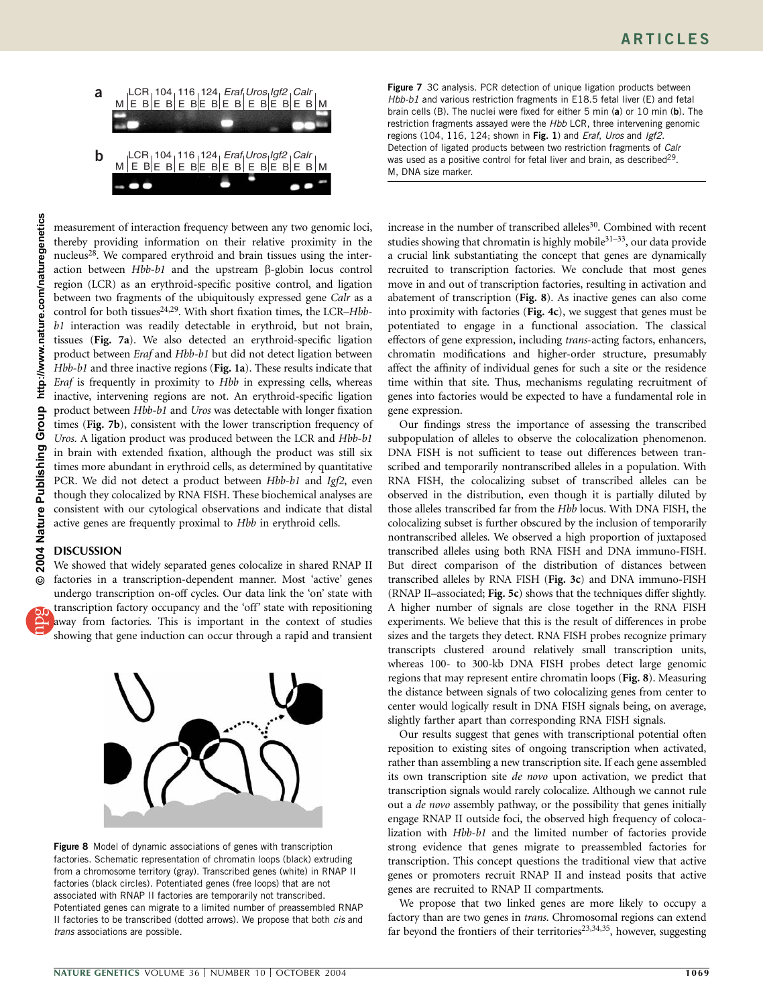

measurement of interaction frequency between any two genomic loci, thereby providing information on their relative proximity in the nucleus<sup>28</sup>. We compared erythroid and brain tissues using the interaction between  $Hbb-b1$  and the upstream  $\beta$ -globin locus control region (LCR) as an erythroid-specific positive control, and ligation between two fragments of the ubiquitously expressed gene Calr as a control for both tissues<sup>24,29</sup>. With short fixation times, the LCR–Hbbb1 interaction was readily detectable in erythroid, but not brain, tissues (Fig. 7a). We also detected an erythroid-specific ligation product between Eraf and Hbb-b1 but did not detect ligation between Hbb-b1 and three inactive regions (Fig. 1a). These results indicate that Eraf is frequently in proximity to Hbb in expressing cells, whereas inactive, intervening regions are not. An erythroid-specific ligation product between Hbb-b1 and Uros was detectable with longer fixation times (Fig. 7b), consistent with the lower transcription frequency of Uros. A ligation product was produced between the LCR and Hbb-b1 in brain with extended fixation, although the product was still six times more abundant in erythroid cells, as determined by quantitative PCR. We did not detect a product between *Hbb-b1* and *Igf2*, even though they colocalized by RNA FISH. These biochemical analyses are consistent with our cytological observations and indicate that distal active genes are frequently proximal to Hbb in erythroid cells.

## DISCUSSION

We showed that widely separated genes colocalize in shared RNAP II factories in a transcription-dependent manner. Most 'active' genes undergo transcription on-off cycles. Our data link the 'on' state with transcription factory occupancy and the 'off' state with repositioning away from factories. This is important in the context of studies showing that gene induction can occur through a rapid and transient



Figure 8 Model of dynamic associations of genes with transcription factories. Schematic representation of chromatin loops (black) extruding from a chromosome territory (gray). Transcribed genes (white) in RNAP II factories (black circles). Potentiated genes (free loops) that are not associated with RNAP II factories are temporarily not transcribed. Potentiated genes can migrate to a limited number of preassembled RNAP II factories to be transcribed (dotted arrows). We propose that both cis and trans associations are possible.

Figure 7 3C analysis. PCR detection of unique ligation products between Hbb-b1 and various restriction fragments in E18.5 fetal liver (E) and fetal brain cells (B). The nuclei were fixed for either 5 min (a) or 10 min (b). The restriction fragments assayed were the Hbb LCR, three intervening genomic regions (104, 116, 124; shown in Fig. 1) and Eraf, Uros and Igf2. Detection of ligated products between two restriction fragments of Calr was used as a positive control for fetal liver and brain, as described<sup>29</sup>. M, DNA size marker.

increase in the number of transcribed alleles<sup>30</sup>. Combined with recent studies showing that chromatin is highly mobile $31-33$ , our data provide a crucial link substantiating the concept that genes are dynamically recruited to transcription factories. We conclude that most genes move in and out of transcription factories, resulting in activation and abatement of transcription (Fig. 8). As inactive genes can also come into proximity with factories (Fig. 4c), we suggest that genes must be potentiated to engage in a functional association. The classical effectors of gene expression, including trans-acting factors, enhancers, chromatin modifications and higher-order structure, presumably affect the affinity of individual genes for such a site or the residence time within that site. Thus, mechanisms regulating recruitment of genes into factories would be expected to have a fundamental role in gene expression.

Our findings stress the importance of assessing the transcribed subpopulation of alleles to observe the colocalization phenomenon. DNA FISH is not sufficient to tease out differences between transcribed and temporarily nontranscribed alleles in a population. With RNA FISH, the colocalizing subset of transcribed alleles can be observed in the distribution, even though it is partially diluted by those alleles transcribed far from the Hbb locus. With DNA FISH, the colocalizing subset is further obscured by the inclusion of temporarily nontranscribed alleles. We observed a high proportion of juxtaposed transcribed alleles using both RNA FISH and DNA immuno-FISH. But direct comparison of the distribution of distances between transcribed alleles by RNA FISH (Fig. 3c) and DNA immuno-FISH (RNAP II–associated; Fig. 5c) shows that the techniques differ slightly. A higher number of signals are close together in the RNA FISH experiments. We believe that this is the result of differences in probe sizes and the targets they detect. RNA FISH probes recognize primary transcripts clustered around relatively small transcription units, whereas 100- to 300-kb DNA FISH probes detect large genomic regions that may represent entire chromatin loops (Fig. 8). Measuring the distance between signals of two colocalizing genes from center to center would logically result in DNA FISH signals being, on average, slightly farther apart than corresponding RNA FISH signals.

Our results suggest that genes with transcriptional potential often reposition to existing sites of ongoing transcription when activated, rather than assembling a new transcription site. If each gene assembled its own transcription site de novo upon activation, we predict that transcription signals would rarely colocalize. Although we cannot rule out a de novo assembly pathway, or the possibility that genes initially engage RNAP II outside foci, the observed high frequency of colocalization with Hbb-b1 and the limited number of factories provide strong evidence that genes migrate to preassembled factories for transcription. This concept questions the traditional view that active genes or promoters recruit RNAP II and instead posits that active genes are recruited to RNAP II compartments.

We propose that two linked genes are more likely to occupy a factory than are two genes in trans. Chromosomal regions can extend far beyond the frontiers of their territories<sup>23,34,35</sup>, however, suggesting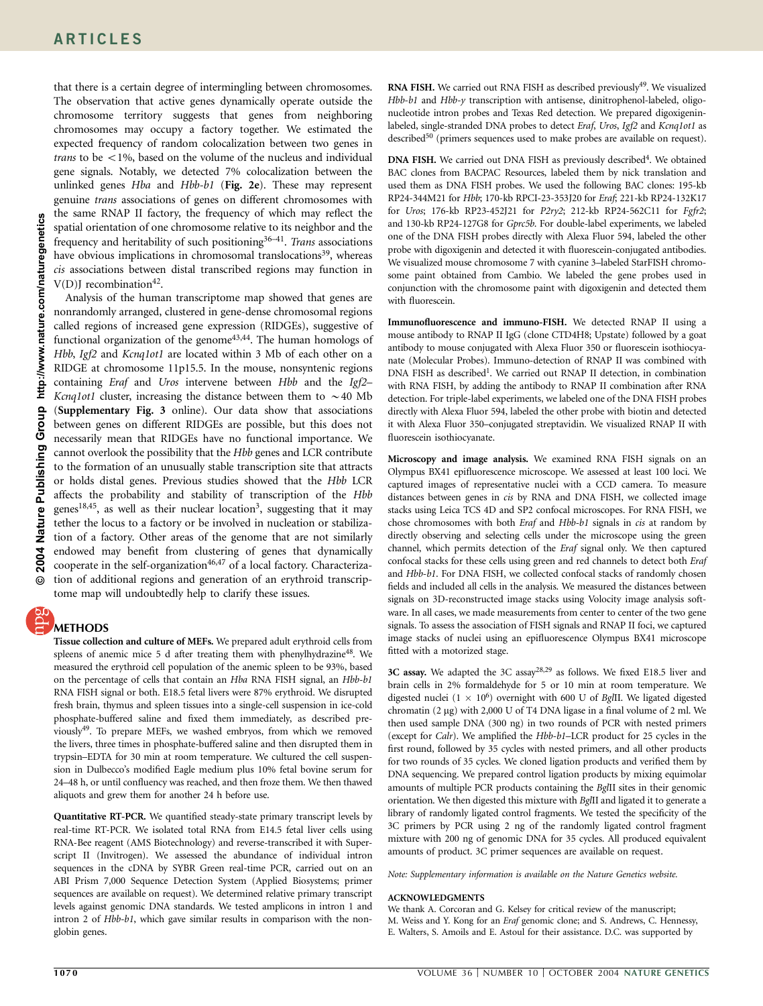# ARTICLES

that there is a certain degree of intermingling between chromosomes. The observation that active genes dynamically operate outside the chromosome territory suggests that genes from neighboring chromosomes may occupy a factory together. We estimated the expected frequency of random colocalization between two genes in *trans* to be  $\langle 1\% \rangle$ , based on the volume of the nucleus and individual gene signals. Notably, we detected 7% colocalization between the unlinked genes Hba and Hbb-b1 (Fig. 2e). These may represent genuine trans associations of genes on different chromosomes with the same RNAP II factory, the frequency of which may reflect the spatial orientation of one chromosome relative to its neighbor and the frequency and heritability of such positioning<sup>36–41</sup>. Trans associations have obvious implications in chromosomal translocations<sup>39</sup>, whereas cis associations between distal transcribed regions may function in  $V(D)$ J recombination<sup>42</sup>.

Analysis of the human transcriptome map showed that genes are nonrandomly arranged, clustered in gene-dense chromosomal regions called regions of increased gene expression (RIDGEs), suggestive of functional organization of the genome<sup>43,44</sup>. The human homologs of Hbb, Igf2 and Kcnq1ot1 are located within 3 Mb of each other on a RIDGE at chromosome 11p15.5. In the mouse, nonsyntenic regions containing *Eraf* and *Uros* intervene between *Hbb* and the Igf2-Kcnq1ot1 cluster, increasing the distance between them to  $\sim$  40 Mb (Supplementary Fig. 3 online). Our data show that associations between genes on different RIDGEs are possible, but this does not necessarily mean that RIDGEs have no functional importance. We cannot overlook the possibility that the Hbb genes and LCR contribute to the formation of an unusually stable transcription site that attracts or holds distal genes. Previous studies showed that the Hbb LCR affects the probability and stability of transcription of the Hbb genes<sup>18,45</sup>, as well as their nuclear location<sup>3</sup>, suggesting that it may tether the locus to a factory or be involved in nucleation or stabilization of a factory. Other areas of the genome that are not similarly endowed may benefit from clustering of genes that dynamically cooperate in the self-organization $46,47$  of a local factory. Characterization of additional regions and generation of an erythroid transcriptome map will undoubtedly help to clarify these issues.

# **METHODS**

Tissue collection and culture of MEFs. We prepared adult erythroid cells from spleens of anemic mice 5 d after treating them with phenylhydrazine<sup>48</sup>. We measured the erythroid cell population of the anemic spleen to be 93%, based on the percentage of cells that contain an Hba RNA FISH signal, an Hbb-b1 RNA FISH signal or both. E18.5 fetal livers were 87% erythroid. We disrupted fresh brain, thymus and spleen tissues into a single-cell suspension in ice-cold phosphate-buffered saline and fixed them immediately, as described previously49. To prepare MEFs, we washed embryos, from which we removed the livers, three times in phosphate-buffered saline and then disrupted them in trypsin–EDTA for 30 min at room temperature. We cultured the cell suspension in Dulbecco's modified Eagle medium plus 10% fetal bovine serum for 24–48 h, or until confluency was reached, and then froze them. We then thawed aliquots and grew them for another 24 h before use.

Quantitative RT-PCR. We quantified steady-state primary transcript levels by real-time RT-PCR. We isolated total RNA from E14.5 fetal liver cells using RNA-Bee reagent (AMS Biotechnology) and reverse-transcribed it with Superscript II (Invitrogen). We assessed the abundance of individual intron sequences in the cDNA by SYBR Green real-time PCR, carried out on an ABI Prism 7,000 Sequence Detection System (Applied Biosystems; primer sequences are available on request). We determined relative primary transcript levels against genomic DNA standards. We tested amplicons in intron 1 and intron 2 of Hbb-b1, which gave similar results in comparison with the nonglobin genes.

RNA FISH. We carried out RNA FISH as described previously<sup>49</sup>. We visualized Hbb-b1 and Hbb-y transcription with antisense, dinitrophenol-labeled, oligonucleotide intron probes and Texas Red detection. We prepared digoxigeninlabeled, single-stranded DNA probes to detect Eraf, Uros, Igf2 and Kcnq1ot1 as described<sup>50</sup> (primers sequences used to make probes are available on request).

DNA FISH. We carried out DNA FISH as previously described<sup>4</sup>. We obtained BAC clones from BACPAC Resources, labeled them by nick translation and used them as DNA FISH probes. We used the following BAC clones: 195-kb RP24-344M21 for Hbb; 170-kb RPCI-23-353J20 for Eraf; 221-kb RP24-132K17 for Uros; 176-kb RP23-452J21 for P2ry2; 212-kb RP24-562C11 for Fgfr2; and 130-kb RP24-127G8 for Gprc5b. For double-label experiments, we labeled one of the DNA FISH probes directly with Alexa Fluor 594, labeled the other probe with digoxigenin and detected it with fluorescein-conjugated antibodies. We visualized mouse chromosome 7 with cyanine 3–labeled StarFISH chromosome paint obtained from Cambio. We labeled the gene probes used in conjunction with the chromosome paint with digoxigenin and detected them with fluorescein.

Immunofluorescence and immuno-FISH. We detected RNAP II using a mouse antibody to RNAP II IgG (clone CTD4H8; Upstate) followed by a goat antibody to mouse conjugated with Alexa Fluor 350 or fluorescein isothiocyanate (Molecular Probes). Immuno-detection of RNAP II was combined with DNA FISH as described<sup>1</sup>. We carried out RNAP II detection, in combination with RNA FISH, by adding the antibody to RNAP II combination after RNA detection. For triple-label experiments, we labeled one of the DNA FISH probes directly with Alexa Fluor 594, labeled the other probe with biotin and detected it with Alexa Fluor 350–conjugated streptavidin. We visualized RNAP II with fluorescein isothiocyanate.

Microscopy and image analysis. We examined RNA FISH signals on an Olympus BX41 epifluorescence microscope. We assessed at least 100 loci. We captured images of representative nuclei with a CCD camera. To measure distances between genes in cis by RNA and DNA FISH, we collected image stacks using Leica TCS 4D and SP2 confocal microscopes. For RNA FISH, we chose chromosomes with both Eraf and Hbb-b1 signals in cis at random by directly observing and selecting cells under the microscope using the green channel, which permits detection of the Eraf signal only. We then captured confocal stacks for these cells using green and red channels to detect both Eraf and Hbb-b1. For DNA FISH, we collected confocal stacks of randomly chosen fields and included all cells in the analysis. We measured the distances between signals on 3D-reconstructed image stacks using Volocity image analysis software. In all cases, we made measurements from center to center of the two gene signals. To assess the association of FISH signals and RNAP II foci, we captured image stacks of nuclei using an epifluorescence Olympus BX41 microscope fitted with a motorized stage.

3C assay. We adapted the 3C assay<sup>28,29</sup> as follows. We fixed E18.5 liver and brain cells in 2% formaldehyde for 5 or 10 min at room temperature. We digested nuclei ( $1 \times 10^6$ ) overnight with 600 U of BgIII. We ligated digested chromatin  $(2 \mu g)$  with 2,000 U of T4 DNA ligase in a final volume of 2 ml. We then used sample DNA (300 ng) in two rounds of PCR with nested primers (except for Calr). We amplified the Hbb-b1–LCR product for 25 cycles in the first round, followed by 35 cycles with nested primers, and all other products for two rounds of 35 cycles. We cloned ligation products and verified them by DNA sequencing. We prepared control ligation products by mixing equimolar amounts of multiple PCR products containing the BglII sites in their genomic orientation. We then digested this mixture with BglII and ligated it to generate a library of randomly ligated control fragments. We tested the specificity of the 3C primers by PCR using 2 ng of the randomly ligated control fragment mixture with 200 ng of genomic DNA for 35 cycles. All produced equivalent amounts of product. 3C primer sequences are available on request.

Note: Supplementary information is available on the Nature Genetics website.

## ACKNOWLEDGMENTS

We thank A. Corcoran and G. Kelsey for critical review of the manuscript; M. Weiss and Y. Kong for an Eraf genomic clone; and S. Andrews, C. Hennessy, E. Walters, S. Amoils and E. Astoul for their assistance. D.C. was supported by